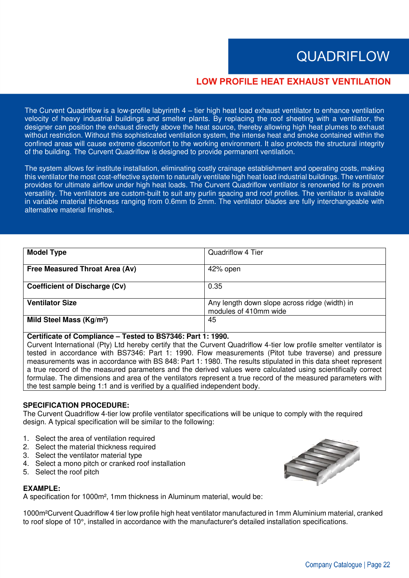# **QUADRIFLOW**

# **LOW PROFILE HEAT EXHAUST VENTILATION**

The Curvent Quadriflow is a low-profile labyrinth 4 – tier high heat load exhaust ventilator to enhance ventilation velocity of heavy industrial buildings and smelter plants. By replacing the roof sheeting with a ventilator, the designer can position the exhaust directly above the heat source, thereby allowing high heat plumes to exhaust without restriction. Without this sophisticated ventilation system, the intense heat and smoke contained within the confined areas will cause extreme discomfort to the working environment. It also protects the structural integrity of the building. The Curvent Quadriflow is designed to provide permanent ventilation.

The system allows for institute installation, eliminating costly crainage establishment and operating costs, making this ventilator the most cost-effective system to naturally ventilate high heat load industrial buildings. The ventilator provides for ultimate airflow under high heat loads. The Curvent Quadriflow ventilator is renowned for its proven versatility. The ventilators are custom-built to suit any purlin spacing and roof profiles. The ventilator is available in variable material thickness ranging from 0.6mm to 2mm. The ventilator blades are fully interchangeable with alternative material finishes.

| <b>Model Type</b>                    | Quadriflow 4 Tier                                                      |
|--------------------------------------|------------------------------------------------------------------------|
| Free Measured Throat Area (Av)       | 42% open                                                               |
| Coefficient of Discharge (Cv)        | 0.35                                                                   |
| <b>Ventilator Size</b>               | Any length down slope across ridge (width) in<br>modules of 410mm wide |
| Mild Steel Mass (Kg/m <sup>2</sup> ) | 45                                                                     |

#### **Certificate of Compliance – Tested to BS7346: Part 1: 1990.**

Curvent International (Pty) Ltd hereby certify that the Curvent Quadriflow 4-tier low profile smelter ventilator is tested in accordance with BS7346: Part 1: 1990. Flow measurements (Pitot tube traverse) and pressure measurements was in accordance with BS 848: Part 1: 1980. The results stipulated in this data sheet represent a true record of the measured parameters and the derived values were calculated using scientifically correct formulae. The dimensions and area of the ventilators represent a true record of the measured parameters with the test sample being 1:1 and is verified by a qualified independent body.

#### **SPECIFICATION PROCEDURE:**

The Curvent Quadriflow 4-tier low profile ventilator specifications will be unique to comply with the required design. A typical specification will be similar to the following:

- 1. Select the area of ventilation required
- 2. Select the material thickness required
- 3. Select the ventilator material type
- 4. Select a mono pitch or cranked roof installation
- 5. Select the roof pitch

#### **EXAMPLE:**

A specification for 1000m², 1mm thickness in Aluminum material, would be:

1000m²Curvent Quadriflow 4 tier low profile high heat ventilator manufactured in 1mm Aluminium material, cranked to roof slope of 10°, installed in accordance with the manufacturer's detailed installation specifications.